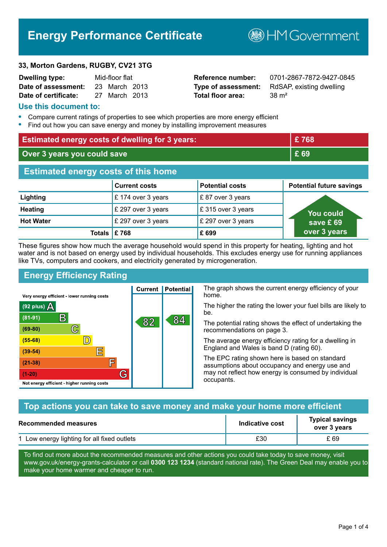# **Energy Performance Certificate**

**B**HMGovernment

#### **33, Morton Gardens, RUGBY, CV21 3TG**

| <b>Dwelling type:</b> | Mid-floor flat |               |  |
|-----------------------|----------------|---------------|--|
| Date of assessment:   |                | 23 March 2013 |  |
| Date of certificate:  |                | 27 March 2013 |  |

# **Total floor area:** 38 m<sup>2</sup>

**Reference number:** 0701-2867-7872-9427-0845 **Type of assessment:** RdSAP, existing dwelling

#### **Use this document to:**

- **•** Compare current ratings of properties to see which properties are more energy efficient
- **•** Find out how you can save energy and money by installing improvement measures

| <b>Estimated energy costs of dwelling for 3 years:</b> |                         |                        | £768                            |
|--------------------------------------------------------|-------------------------|------------------------|---------------------------------|
| Over 3 years you could save                            |                         | £ 69                   |                                 |
| <b>Estimated energy costs of this home</b>             |                         |                        |                                 |
|                                                        | <b>Current costs</b>    | <b>Potential costs</b> | <b>Potential future savings</b> |
| Lighting                                               | £ 174 over 3 years      | £87 over 3 years       |                                 |
| <b>Heating</b>                                         | £ 297 over 3 years      | £315 over 3 years      | <u>You could</u>                |
| <b>Hot Water</b>                                       | £ 297 over 3 years      | £ 297 over 3 years     | save £69                        |
|                                                        | Totals $\mathsf{E}$ 768 | £699                   | over 3 years                    |

These figures show how much the average household would spend in this property for heating, lighting and hot water and is not based on energy used by individual households. This excludes energy use for running appliances like TVs, computers and cookers, and electricity generated by microgeneration.

**Current | Potential** 

82

# **Energy Efficiency Rating**

 $\mathbb{C}$ 

 $\mathbb{D}$ 

E

庐

G

Very energy efficient - lower running costs

R

Not energy efficient - higher running costs

(92 plus)  $\Delta$ 

 $(81 - 91)$ 

 $(69 - 80)$ 

 $(55-68)$ 

 $(39 - 54)$ 

 $(21-38)$ 

 $(1-20)$ 

The graph shows the current energy efficiency of your home.

The higher the rating the lower your fuel bills are likely to be.

The potential rating shows the effect of undertaking the recommendations on page 3.

The average energy efficiency rating for a dwelling in England and Wales is band D (rating 60).

The EPC rating shown here is based on standard assumptions about occupancy and energy use and may not reflect how energy is consumed by individual occupants.

# **Top actions you can take to save money and make your home more efficient**

84

| Recommended measures                        | Indicative cost | <b>Typical savings</b><br>over 3 years |
|---------------------------------------------|-----------------|----------------------------------------|
| 1 Low energy lighting for all fixed outlets | £30             | £ 69                                   |

To find out more about the recommended measures and other actions you could take today to save money, visit www.gov.uk/energy-grants-calculator or call **0300 123 1234** (standard national rate). The Green Deal may enable you to make your home warmer and cheaper to run.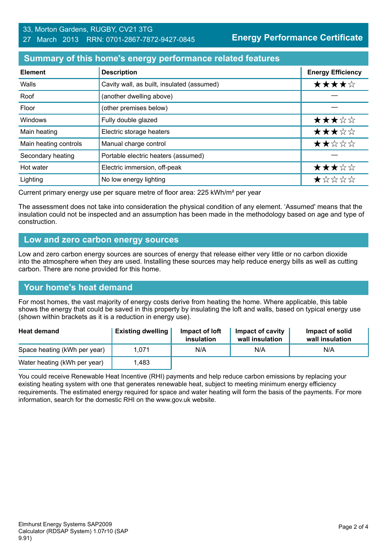#### 33, Morton Gardens, RUGBY, CV21 3TG 27 March 2013 RRN: 0701-2867-7872-9427-0845

**Energy Performance Certificate**

# **Summary of this home's energy performance related features**

| <b>Element</b>        | <b>Description</b>                         | <b>Energy Efficiency</b> |
|-----------------------|--------------------------------------------|--------------------------|
| Walls                 | Cavity wall, as built, insulated (assumed) | ★★★★☆                    |
| Roof                  | (another dwelling above)                   |                          |
| Floor                 | (other premises below)                     |                          |
| Windows               | Fully double glazed                        | ★★★☆☆                    |
| Main heating          | Electric storage heaters                   | ★★★☆☆                    |
| Main heating controls | Manual charge control                      | ★★☆☆☆                    |
| Secondary heating     | Portable electric heaters (assumed)        |                          |
| Hot water             | Electric immersion, off-peak               | ★★★☆☆                    |
| Lighting              | No low energy lighting                     | *****                    |

Current primary energy use per square metre of floor area: 225 kWh/m² per year

The assessment does not take into consideration the physical condition of any element. 'Assumed' means that the insulation could not be inspected and an assumption has been made in the methodology based on age and type of construction.

#### **Low and zero carbon energy sources**

Low and zero carbon energy sources are sources of energy that release either very little or no carbon dioxide into the atmosphere when they are used. Installing these sources may help reduce energy bills as well as cutting carbon. There are none provided for this home.

# **Your home's heat demand**

For most homes, the vast majority of energy costs derive from heating the home. Where applicable, this table shows the energy that could be saved in this property by insulating the loft and walls, based on typical energy use (shown within brackets as it is a reduction in energy use).

| <b>Heat demand</b>           | <b>Existing dwelling</b> | Impact of loft<br>insulation | Impact of cavity<br>wall insulation | Impact of solid<br>wall insulation |
|------------------------------|--------------------------|------------------------------|-------------------------------------|------------------------------------|
| Space heating (kWh per year) | 1.071                    | N/A                          | N/A                                 | N/A                                |
| Water heating (kWh per year) | l.483                    |                              |                                     |                                    |

You could receive Renewable Heat Incentive (RHI) payments and help reduce carbon emissions by replacing your existing heating system with one that generates renewable heat, subject to meeting minimum energy efficiency requirements. The estimated energy required for space and water heating will form the basis of the payments. For more information, search for the domestic RHI on the www.gov.uk website.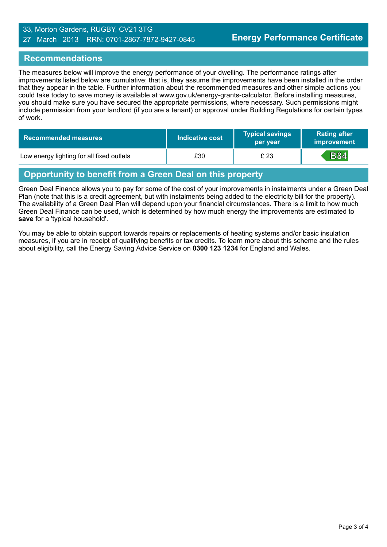#### 33, Morton Gardens, RUGBY, CV21 3TG 27 March 2013 RRN: 0701-2867-7872-9427-0845

### **Recommendations**

The measures below will improve the energy performance of your dwelling. The performance ratings after improvements listed below are cumulative; that is, they assume the improvements have been installed in the order that they appear in the table. Further information about the recommended measures and other simple actions you could take today to save money is available at www.gov.uk/energy-grants-calculator. Before installing measures, you should make sure you have secured the appropriate permissions, where necessary. Such permissions might include permission from your landlord (if you are a tenant) or approval under Building Regulations for certain types of work.

| <b>Recommended measures</b>               | Indicative cost | <b>Typical savings</b><br>per year | <b>Rating after</b><br>improvement |
|-------------------------------------------|-----------------|------------------------------------|------------------------------------|
| Low energy lighting for all fixed outlets | £30             | £ 23                               | <b>B84</b>                         |

# **Opportunity to benefit from a Green Deal on this property**

Green Deal Finance allows you to pay for some of the cost of your improvements in instalments under a Green Deal Plan (note that this is a credit agreement, but with instalments being added to the electricity bill for the property). The availability of a Green Deal Plan will depend upon your financial circumstances. There is a limit to how much Green Deal Finance can be used, which is determined by how much energy the improvements are estimated to **save** for a 'typical household'.

You may be able to obtain support towards repairs or replacements of heating systems and/or basic insulation measures, if you are in receipt of qualifying benefits or tax credits. To learn more about this scheme and the rules about eligibility, call the Energy Saving Advice Service on **0300 123 1234** for England and Wales.